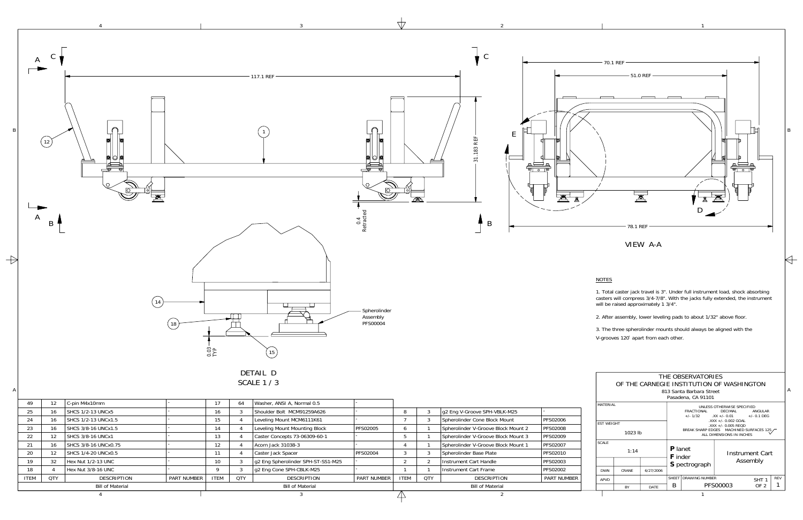1

3

4

| 49               | 12.        | C-pin M4x10mm            |                    | 17                      | 64         | Washer, ANSI A, Normal 0.5         |                    |             |            |                                     |                    |
|------------------|------------|--------------------------|--------------------|-------------------------|------------|------------------------------------|--------------------|-------------|------------|-------------------------------------|--------------------|
| 25               | 16         | <b>SHCS 1/2-13 UNCx5</b> |                    | 16                      |            | Shoulder Bolt MCM91259A626         |                    |             | J.         | g2 Eng V-Groove SPH-VBLK-M25        |                    |
| 24               | 16         | SHCS 1/2-13 UNCx1.5      |                    | 15                      |            | Leveling Mount MCM6111K61          |                    |             |            | Spherolinder Cone Block Mount       | <b>PFS02006</b>    |
| 23               | 16         | SHCS 3/8-16 UNCx1.5      |                    | 14                      |            | Leveling Mount Mounting Block      | <b>PFS02005</b>    |             |            | Spherolinder V-Groove Block Mount 2 | <b>PFS02008</b>    |
| 22               | 12.        | SHCS 3/8-16 UNCx1        |                    | 13                      |            | Caster Concepts 73-06309-60-1      |                    |             |            | Spherolinder V-Groove Block Mount 3 | <b>PFS02009</b>    |
| 21               | 16         | SHCS 3/8-16 UNCx0.75     |                    | 12                      |            | Acorn Jack 31038-3                 |                    |             |            | Spherolinder V-Groove Block Mount 1 | <b>PFS02007</b>    |
| 20               | 12         | SHCS 1/4-20 UNCx0.5      |                    |                         |            | Caster Jack Spacer                 | <b>PFS02004</b>    |             |            | Spherolinder Base Plate             | PFS02010           |
| 19               | 32         | Hex Nut 1/2-13 UNC       |                    | 10                      |            | g2 Eng Spherolinder SPH-ST-SS1-M25 |                    |             |            | Instrument Cart Handle              | <b>PFS02003</b>    |
| 18               |            | Hex Nut 3/8-16 UNC       |                    |                         |            | g2 Eng Cone SPH-CBLK-M25           |                    |             |            | Instrument Cart Frame               | <b>PFS02002</b>    |
| <b>ITEM</b>      | <b>QTY</b> | DESCRIPTION              | <b>PART NUMBER</b> | <b>ITEM</b>             | <b>QTY</b> | DESCRIPTION                        | <b>PART NUMBER</b> | <b>ITEM</b> | <b>QTY</b> | <b>DESCRIPTION</b>                  | <b>PART NUMBER</b> |
| Bill of Material |            |                          |                    | <b>Bill of Material</b> |            |                                    | Bill of Material   |             |            |                                     |                    |
|                  |            |                          |                    |                         |            |                                    |                    |             |            |                                     |                    |
|                  |            |                          |                    |                         |            |                                    |                    |             |            |                                     |                    |



 $\mathcal{L}$